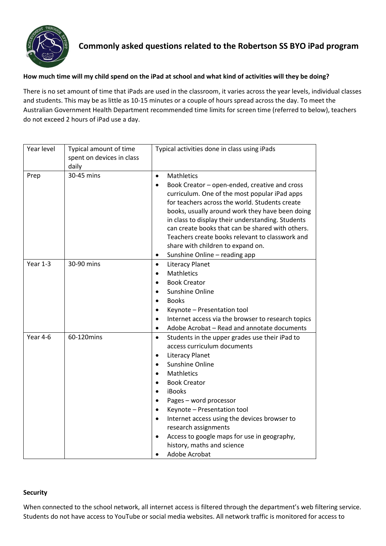

# **Commonly asked questions related to the Robertson SS BYO iPad program**

### **How much time will my child spend on the iPad at school and what kind of activities will they be doing?**

There is no set amount of time that iPads are used in the classroom, it varies across the year levels, individual classes and students. This may be as little as 10-15 minutes or a couple of hours spread across the day. To meet the Australian Government Health Department recommended time limits for screen time (referred to below), teachers do not exceed 2 hours of iPad use a day.

| Year level | Typical amount of time<br>spent on devices in class<br>daily | Typical activities done in class using iPads                                                                                                                                                                                                                                                                                                                                                                                                                                                                            |
|------------|--------------------------------------------------------------|-------------------------------------------------------------------------------------------------------------------------------------------------------------------------------------------------------------------------------------------------------------------------------------------------------------------------------------------------------------------------------------------------------------------------------------------------------------------------------------------------------------------------|
| Prep       | 30-45 mins                                                   | <b>Mathletics</b><br>$\bullet$<br>Book Creator - open-ended, creative and cross<br>$\bullet$<br>curriculum. One of the most popular iPad apps<br>for teachers across the world. Students create<br>books, usually around work they have been doing<br>in class to display their understanding. Students<br>can create books that can be shared with others.<br>Teachers create books relevant to classwork and<br>share with children to expand on.<br>Sunshine Online - reading app<br>$\bullet$                       |
| Year 1-3   | 30-90 mins                                                   | <b>Literacy Planet</b><br>$\bullet$<br>Mathletics<br>$\bullet$<br><b>Book Creator</b><br>Sunshine Online<br><b>Books</b><br>Keynote - Presentation tool<br>Internet access via the browser to research topics<br>$\bullet$<br>Adobe Acrobat - Read and annotate documents<br>$\bullet$                                                                                                                                                                                                                                  |
| Year 4-6   | 60-120mins                                                   | Students in the upper grades use their iPad to<br>$\bullet$<br>access curriculum documents<br><b>Literacy Planet</b><br>$\bullet$<br>Sunshine Online<br>$\bullet$<br>Mathletics<br>$\bullet$<br><b>Book Creator</b><br><b>iBooks</b><br>Pages - word processor<br>$\bullet$<br>Keynote - Presentation tool<br>$\bullet$<br>Internet access using the devices browser to<br>$\bullet$<br>research assignments<br>Access to google maps for use in geography,<br>$\bullet$<br>history, maths and science<br>Adobe Acrobat |

#### **Security**

When connected to the school network, all internet access is filtered through the department's web filtering service. Students do not have access to YouTube or social media websites. All network traffic is monitored for access to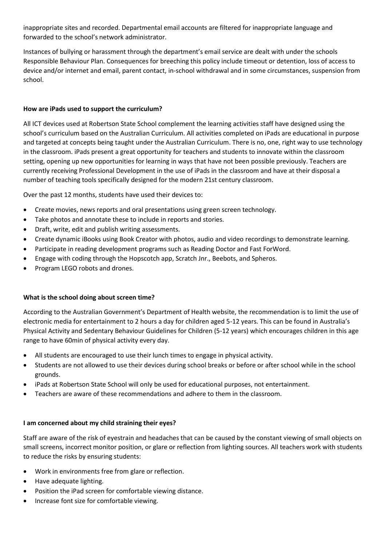inappropriate sites and recorded. Departmental email accounts are filtered for inappropriate language and forwarded to the school's network administrator.

Instances of bullying or harassment through the department's email service are dealt with under the schools Responsible Behaviour Plan. Consequences for breeching this policy include timeout or detention, loss of access to device and/or internet and email, parent contact, in-school withdrawal and in some circumstances, suspension from school.

## **How are iPads used to support the curriculum?**

All ICT devices used at Robertson State School complement the learning activities staff have designed using the school's curriculum based on the Australian Curriculum. All activities completed on iPads are educational in purpose and targeted at concepts being taught under the Australian Curriculum. There is no, one, right way to use technology in the classroom. iPads present a great opportunity for teachers and students to innovate within the classroom setting, opening up new opportunities for learning in ways that have not been possible previously. Teachers are currently receiving Professional Development in the use of iPads in the classroom and have at their disposal a number of teaching tools specifically designed for the modern 21st century classroom.

Over the past 12 months, students have used their devices to:

- Create movies, news reports and oral presentations using green screen technology.
- Take photos and annotate these to include in reports and stories.
- Draft, write, edit and publish writing assessments.
- Create dynamic iBooks using Book Creator with photos, audio and video recordings to demonstrate learning.
- Participate in reading development programs such as Reading Doctor and Fast ForWord.
- Engage with coding through the Hopscotch app, Scratch Jnr., Beebots, and Spheros.
- Program LEGO robots and drones.

#### **What is the school doing about screen time?**

According to the Australian Government's Department of Health website, the recommendation is to limit the use of electronic media for entertainment to 2 hours a day for children aged 5-12 years. This can be found in Australia's Physical Activity and Sedentary Behaviour Guidelines for Children (5-12 years) which encourages children in this age range to have 60min of physical activity every day.

- All students are encouraged to use their lunch times to engage in physical activity.
- Students are not allowed to use their devices during school breaks or before or after school while in the school grounds.
- iPads at Robertson State School will only be used for educational purposes, not entertainment.
- Teachers are aware of these recommendations and adhere to them in the classroom.

#### **I am concerned about my child straining their eyes?**

Staff are aware of the risk of eyestrain and headaches that can be caused by the constant viewing of small objects on small screens, incorrect monitor position, or glare or reflection from lighting sources. All teachers work with students to reduce the risks by ensuring students:

- Work in environments free from glare or reflection.
- Have adequate lighting.
- Position the iPad screen for comfortable viewing distance.
- Increase font size for comfortable viewing.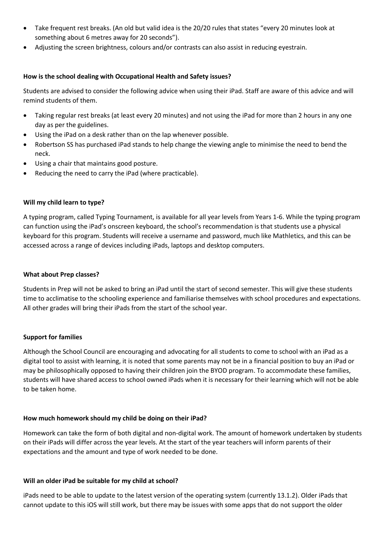- Take frequent rest breaks. (An old but valid idea is the 20/20 rules that states "every 20 minutes look at something about 6 metres away for 20 seconds").
- Adjusting the screen brightness, colours and/or contrasts can also assist in reducing eyestrain.

#### **How is the school dealing with Occupational Health and Safety issues?**

Students are advised to consider the following advice when using their iPad. Staff are aware of this advice and will remind students of them.

- Taking regular rest breaks (at least every 20 minutes) and not using the iPad for more than 2 hours in any one day as per the guidelines.
- Using the iPad on a desk rather than on the lap whenever possible.
- Robertson SS has purchased iPad stands to help change the viewing angle to minimise the need to bend the neck.
- Using a chair that maintains good posture.
- Reducing the need to carry the iPad (where practicable).

### **Will my child learn to type?**

A typing program, called Typing Tournament, is available for all year levels from Years 1-6. While the typing program can function using the iPad's onscreen keyboard, the school's recommendation is that students use a physical keyboard for this program. Students will receive a username and password, much like Mathletics, and this can be accessed across a range of devices including iPads, laptops and desktop computers.

#### **What about Prep classes?**

Students in Prep will not be asked to bring an iPad until the start of second semester. This will give these students time to acclimatise to the schooling experience and familiarise themselves with school procedures and expectations. All other grades will bring their iPads from the start of the school year.

## **Support for families**

Although the School Council are encouraging and advocating for all students to come to school with an iPad as a digital tool to assist with learning, it is noted that some parents may not be in a financial position to buy an iPad or may be philosophically opposed to having their children join the BYOD program. To accommodate these families, students will have shared access to school owned iPads when it is necessary for their learning which will not be able to be taken home.

## **How much homework should my child be doing on their iPad?**

Homework can take the form of both digital and non-digital work. The amount of homework undertaken by students on their iPads will differ across the year levels. At the start of the year teachers will inform parents of their expectations and the amount and type of work needed to be done.

#### **Will an older iPad be suitable for my child at school?**

iPads need to be able to update to the latest version of the operating system (currently 13.1.2). Older iPads that cannot update to this iOS will still work, but there may be issues with some apps that do not support the older